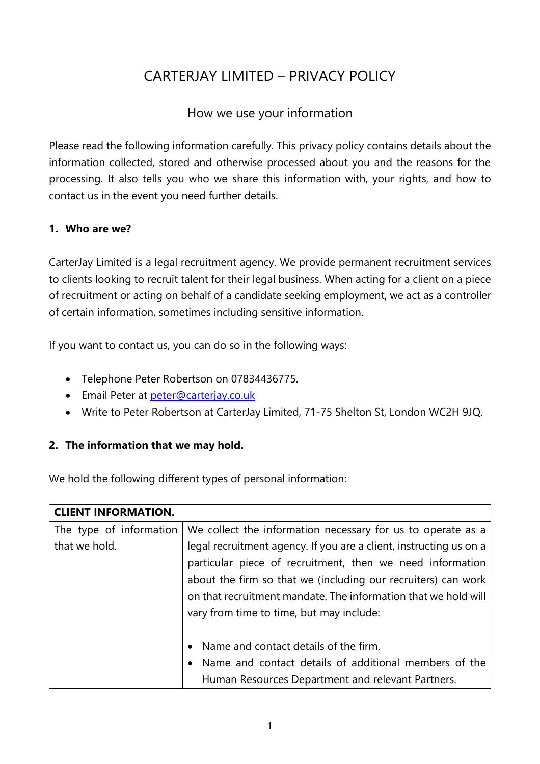# CARTERJAY LIMITED – PRIVACY POLICY

## How we use your information

Please read the following information carefully. This privacy policy contains details about the information collected, stored and otherwise processed about you and the reasons for the processing. It also tells you who we share this information with, your rights, and how to contact us in the event you need further details.

## **1. Who are we?**

CarterJay Limited is a legal recruitment agency. We provide permanent recruitment services to clients looking to recruit talent for their legal business. When acting for a client on a piece of recruitment or acting on behalf of a candidate seeking employment, we act as a controller of certain information, sometimes including sensitive information.

If you want to contact us, you can do so in the following ways:

- Telephone Peter Robertson on 07834436775.
- **Email Peter at [peter@carterjay.co.uk](mailto:peter@carterjay.co.uk)**
- Write to Peter Robertson at CarterJay Limited, 71-75 Shelton St, London WC2H 9JQ.

## **2. The information that we may hold.**

We hold the following different types of personal information:

| <b>CLIENT INFORMATION.</b> |                                                                    |  |  |
|----------------------------|--------------------------------------------------------------------|--|--|
| The type of information    | We collect the information necessary for us to operate as a        |  |  |
| that we hold.              | legal recruitment agency. If you are a client, instructing us on a |  |  |
|                            | particular piece of recruitment, then we need information          |  |  |
|                            | about the firm so that we (including our recruiters) can work      |  |  |
|                            | on that recruitment mandate. The information that we hold will     |  |  |
|                            | vary from time to time, but may include:                           |  |  |
|                            |                                                                    |  |  |
|                            | • Name and contact details of the firm.                            |  |  |
|                            | • Name and contact details of additional members of the            |  |  |
|                            | Human Resources Department and relevant Partners.                  |  |  |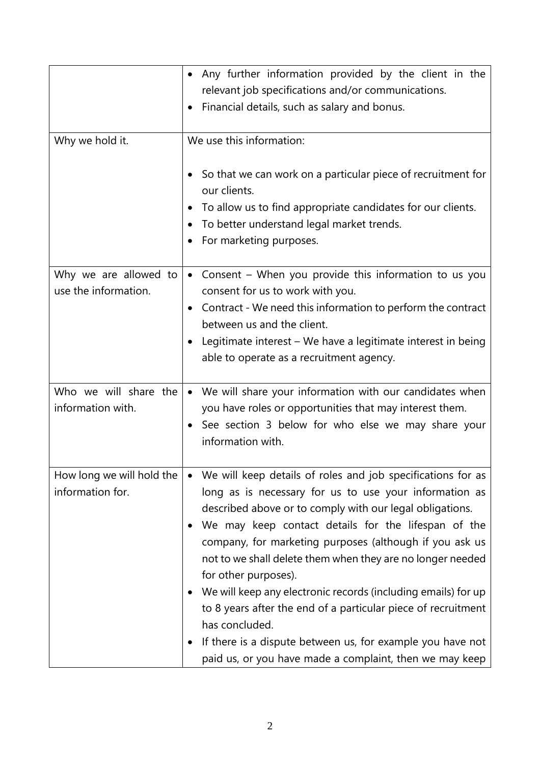|                                            | Any further information provided by the client in the                                                                                                                                                               |  |  |  |
|--------------------------------------------|---------------------------------------------------------------------------------------------------------------------------------------------------------------------------------------------------------------------|--|--|--|
|                                            | relevant job specifications and/or communications.                                                                                                                                                                  |  |  |  |
|                                            | Financial details, such as salary and bonus.                                                                                                                                                                        |  |  |  |
|                                            |                                                                                                                                                                                                                     |  |  |  |
| Why we hold it.                            | We use this information:                                                                                                                                                                                            |  |  |  |
|                                            | So that we can work on a particular piece of recruitment for<br>our clients.<br>To allow us to find appropriate candidates for our clients.<br>To better understand legal market trends.<br>For marketing purposes. |  |  |  |
| Why we are allowed to                      | Consent - When you provide this information to us you<br>$\bullet$                                                                                                                                                  |  |  |  |
| use the information.                       | consent for us to work with you.                                                                                                                                                                                    |  |  |  |
|                                            | Contract - We need this information to perform the contract                                                                                                                                                         |  |  |  |
|                                            | between us and the client.                                                                                                                                                                                          |  |  |  |
|                                            | Legitimate interest – We have a legitimate interest in being                                                                                                                                                        |  |  |  |
|                                            | able to operate as a recruitment agency.                                                                                                                                                                            |  |  |  |
|                                            |                                                                                                                                                                                                                     |  |  |  |
| Who we will share the<br>information with. | • We will share your information with our candidates when                                                                                                                                                           |  |  |  |
|                                            | you have roles or opportunities that may interest them.                                                                                                                                                             |  |  |  |
|                                            | See section 3 below for who else we may share your<br>information with.                                                                                                                                             |  |  |  |
|                                            |                                                                                                                                                                                                                     |  |  |  |
| How long we will hold the                  | We will keep details of roles and job specifications for as                                                                                                                                                         |  |  |  |
| information for.                           | long as is necessary for us to use your information as                                                                                                                                                              |  |  |  |
|                                            | described above or to comply with our legal obligations.                                                                                                                                                            |  |  |  |
|                                            | We may keep contact details for the lifespan of the                                                                                                                                                                 |  |  |  |
|                                            | company, for marketing purposes (although if you ask us                                                                                                                                                             |  |  |  |
|                                            | not to we shall delete them when they are no longer needed<br>for other purposes).                                                                                                                                  |  |  |  |
|                                            | We will keep any electronic records (including emails) for up                                                                                                                                                       |  |  |  |
|                                            | to 8 years after the end of a particular piece of recruitment                                                                                                                                                       |  |  |  |
| has concluded.                             |                                                                                                                                                                                                                     |  |  |  |
|                                            | If there is a dispute between us, for example you have not                                                                                                                                                          |  |  |  |
|                                            | paid us, or you have made a complaint, then we may keep                                                                                                                                                             |  |  |  |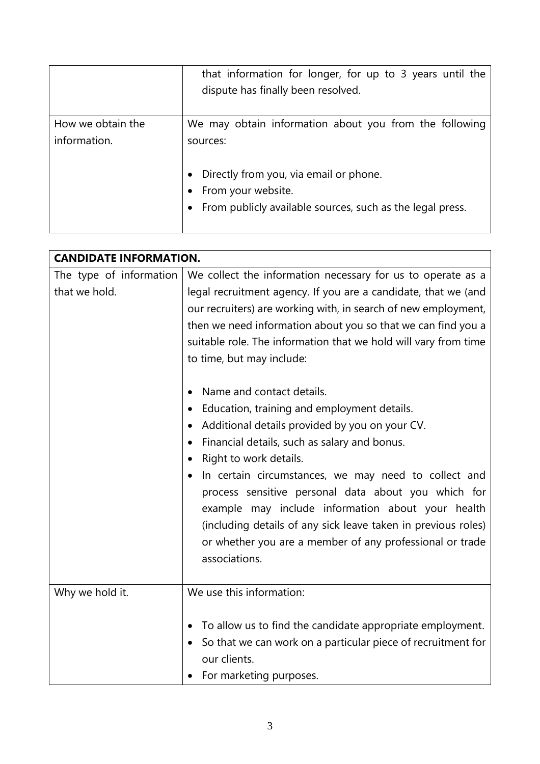|                                   | that information for longer, for up to 3 years until the<br>dispute has finally been resolved.                                                                                                      |
|-----------------------------------|-----------------------------------------------------------------------------------------------------------------------------------------------------------------------------------------------------|
| How we obtain the<br>information. | We may obtain information about you from the following<br>sources:<br>Directly from you, via email or phone.<br>• From your website.<br>• From publicly available sources, such as the legal press. |

| <b>CANDIDATE INFORMATION.</b>            |                                                                                                                                                                                                                                                                                                                                                                                                                                                                                                                                                                                                                                                                                                                                                                                                                                                                                                                                       |  |
|------------------------------------------|---------------------------------------------------------------------------------------------------------------------------------------------------------------------------------------------------------------------------------------------------------------------------------------------------------------------------------------------------------------------------------------------------------------------------------------------------------------------------------------------------------------------------------------------------------------------------------------------------------------------------------------------------------------------------------------------------------------------------------------------------------------------------------------------------------------------------------------------------------------------------------------------------------------------------------------|--|
| The type of information<br>that we hold. | We collect the information necessary for us to operate as a<br>legal recruitment agency. If you are a candidate, that we (and<br>our recruiters) are working with, in search of new employment,<br>then we need information about you so that we can find you a<br>suitable role. The information that we hold will vary from time<br>to time, but may include:<br>Name and contact details.<br>$\bullet$<br>Education, training and employment details.<br>$\bullet$<br>Additional details provided by you on your CV.<br>Financial details, such as salary and bonus.<br>٠<br>Right to work details.<br>In certain circumstances, we may need to collect and<br>$\bullet$<br>process sensitive personal data about you which for<br>example may include information about your health<br>(including details of any sick leave taken in previous roles)<br>or whether you are a member of any professional or trade<br>associations. |  |
| Why we hold it.                          | We use this information:<br>To allow us to find the candidate appropriate employment.<br>$\bullet$<br>So that we can work on a particular piece of recruitment for<br>$\bullet$<br>our clients.<br>For marketing purposes.                                                                                                                                                                                                                                                                                                                                                                                                                                                                                                                                                                                                                                                                                                            |  |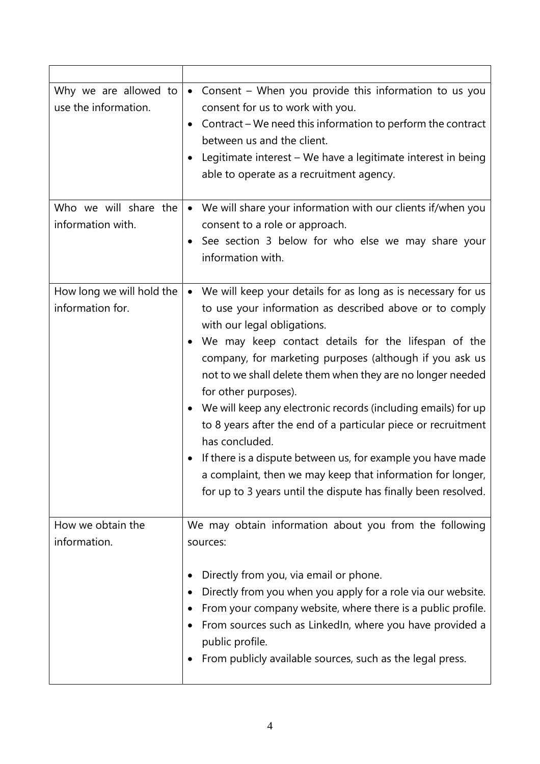| Why we are allowed to<br>use the information.<br>Who we will share the | • Consent - When you provide this information to us you<br>consent for us to work with you.<br>Contract – We need this information to perform the contract<br>between us and the client.<br>Legitimate interest - We have a legitimate interest in being<br>able to operate as a recruitment agency.<br>• We will share your information with our clients if/when you                                                                                                                                                                                                                                                                                                                                               |  |
|------------------------------------------------------------------------|---------------------------------------------------------------------------------------------------------------------------------------------------------------------------------------------------------------------------------------------------------------------------------------------------------------------------------------------------------------------------------------------------------------------------------------------------------------------------------------------------------------------------------------------------------------------------------------------------------------------------------------------------------------------------------------------------------------------|--|
| information with.                                                      | consent to a role or approach.<br>See section 3 below for who else we may share your<br>information with.                                                                                                                                                                                                                                                                                                                                                                                                                                                                                                                                                                                                           |  |
| How long we will hold the<br>information for.                          | We will keep your details for as long as is necessary for us<br>to use your information as described above or to comply<br>with our legal obligations.<br>We may keep contact details for the lifespan of the<br>company, for marketing purposes (although if you ask us<br>not to we shall delete them when they are no longer needed<br>for other purposes).<br>• We will keep any electronic records (including emails) for up<br>to 8 years after the end of a particular piece or recruitment<br>has concluded.<br>If there is a dispute between us, for example you have made<br>a complaint, then we may keep that information for longer,<br>for up to 3 years until the dispute has finally been resolved. |  |
| How we obtain the<br>information.                                      | We may obtain information about you from the following<br>sources:<br>Directly from you, via email or phone.<br>Directly from you when you apply for a role via our website.<br>From your company website, where there is a public profile.<br>From sources such as LinkedIn, where you have provided a<br>public profile.<br>From publicly available sources, such as the legal press.                                                                                                                                                                                                                                                                                                                             |  |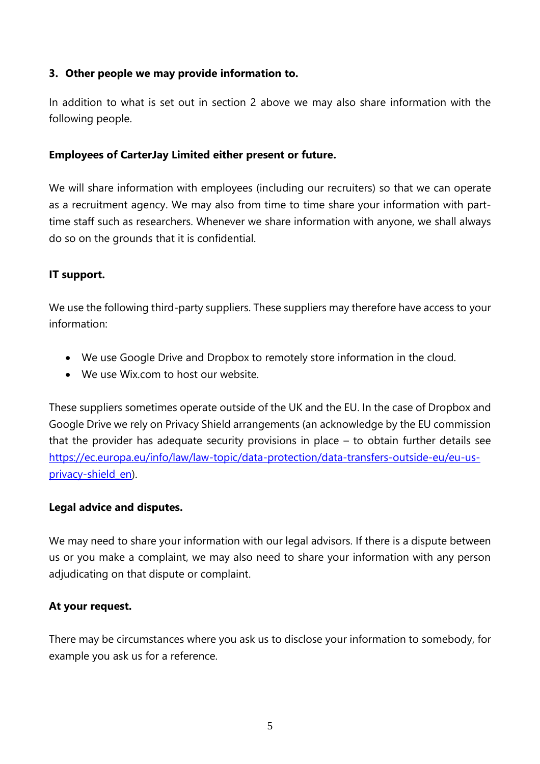## **3. Other people we may provide information to.**

In addition to what is set out in section 2 above we may also share information with the following people.

#### **Employees of CarterJay Limited either present or future.**

We will share information with employees (including our recruiters) so that we can operate as a recruitment agency. We may also from time to time share your information with parttime staff such as researchers. Whenever we share information with anyone, we shall always do so on the grounds that it is confidential.

#### **IT support.**

We use the following third-party suppliers. These suppliers may therefore have access to your information:

- We use Google Drive and Dropbox to remotely store information in the cloud.
- We use Wix.com to host our website.

These suppliers sometimes operate outside of the UK and the EU. In the case of Dropbox and Google Drive we rely on Privacy Shield arrangements (an acknowledge by the EU commission that the provider has adequate security provisions in place – to obtain further details see [https://ec.europa.eu/info/law/law-topic/data-protection/data-transfers-outside-eu/eu-us](https://ec.europa.eu/info/law/law-topic/data-protection/data-transfers-outside-eu/eu-us-privacy-shield_en)[privacy-shield\\_en\)](https://ec.europa.eu/info/law/law-topic/data-protection/data-transfers-outside-eu/eu-us-privacy-shield_en).

#### **Legal advice and disputes.**

We may need to share your information with our legal advisors. If there is a dispute between us or you make a complaint, we may also need to share your information with any person adjudicating on that dispute or complaint.

#### **At your request.**

There may be circumstances where you ask us to disclose your information to somebody, for example you ask us for a reference.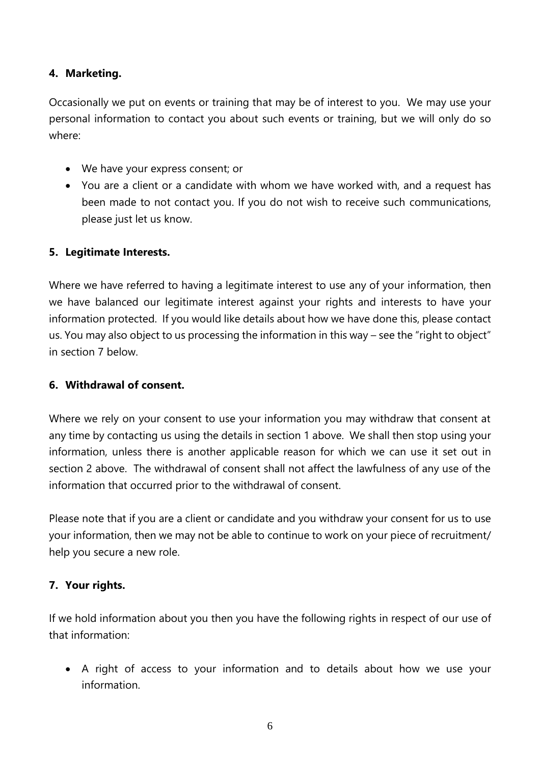## **4. Marketing.**

Occasionally we put on events or training that may be of interest to you. We may use your personal information to contact you about such events or training, but we will only do so where:

- We have your express consent; or
- You are a client or a candidate with whom we have worked with, and a request has been made to not contact you. If you do not wish to receive such communications, please just let us know.

#### **5. Legitimate Interests.**

Where we have referred to having a legitimate interest to use any of your information, then we have balanced our legitimate interest against your rights and interests to have your information protected. If you would like details about how we have done this, please contact us. You may also object to us processing the information in this way – see the "right to object" in section 7 below.

#### **6. Withdrawal of consent.**

Where we rely on your consent to use your information you may withdraw that consent at any time by contacting us using the details in section 1 above. We shall then stop using your information, unless there is another applicable reason for which we can use it set out in section 2 above. The withdrawal of consent shall not affect the lawfulness of any use of the information that occurred prior to the withdrawal of consent.

Please note that if you are a client or candidate and you withdraw your consent for us to use your information, then we may not be able to continue to work on your piece of recruitment/ help you secure a new role.

#### **7. Your rights.**

If we hold information about you then you have the following rights in respect of our use of that information:

 A right of access to your information and to details about how we use your information.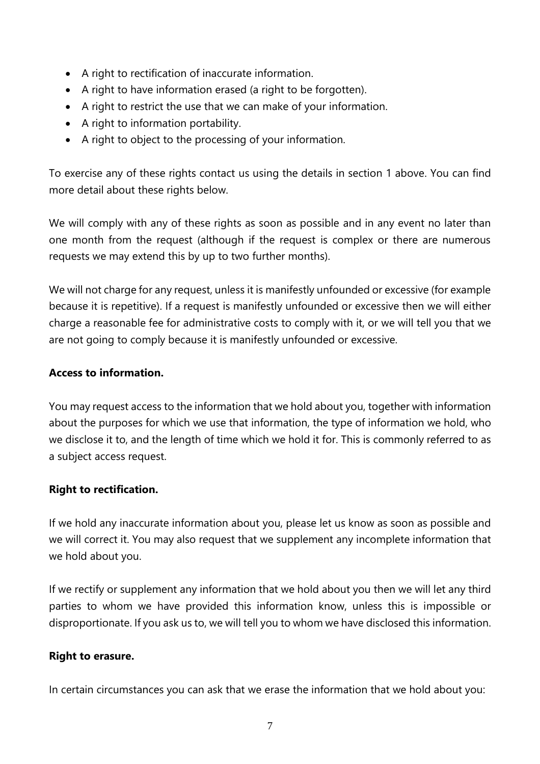- A right to rectification of inaccurate information.
- A right to have information erased (a right to be forgotten).
- A right to restrict the use that we can make of your information.
- A right to information portability.
- A right to object to the processing of your information.

To exercise any of these rights contact us using the details in section 1 above. You can find more detail about these rights below.

We will comply with any of these rights as soon as possible and in any event no later than one month from the request (although if the request is complex or there are numerous requests we may extend this by up to two further months).

We will not charge for any request, unless it is manifestly unfounded or excessive (for example because it is repetitive). If a request is manifestly unfounded or excessive then we will either charge a reasonable fee for administrative costs to comply with it, or we will tell you that we are not going to comply because it is manifestly unfounded or excessive.

## **Access to information.**

You may request access to the information that we hold about you, together with information about the purposes for which we use that information, the type of information we hold, who we disclose it to, and the length of time which we hold it for. This is commonly referred to as a subject access request.

## **Right to rectification.**

If we hold any inaccurate information about you, please let us know as soon as possible and we will correct it. You may also request that we supplement any incomplete information that we hold about you.

If we rectify or supplement any information that we hold about you then we will let any third parties to whom we have provided this information know, unless this is impossible or disproportionate. If you ask us to, we will tell you to whom we have disclosed this information.

#### **Right to erasure.**

In certain circumstances you can ask that we erase the information that we hold about you: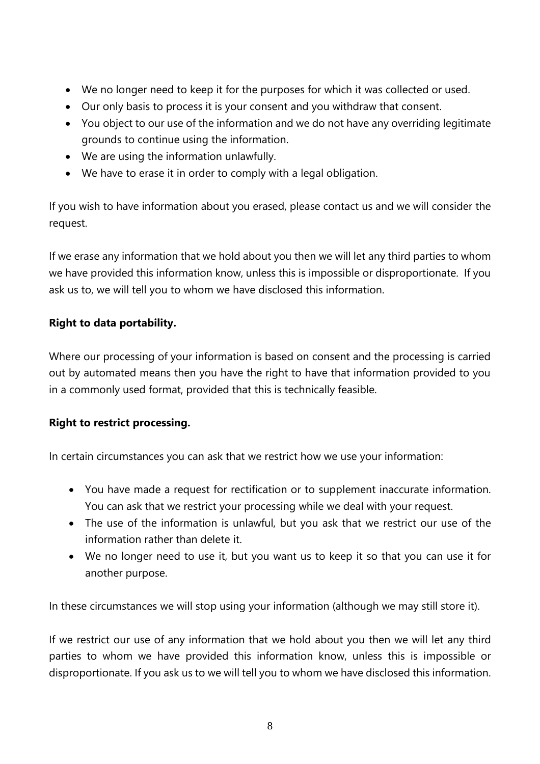- We no longer need to keep it for the purposes for which it was collected or used.
- Our only basis to process it is your consent and you withdraw that consent.
- You object to our use of the information and we do not have any overriding legitimate grounds to continue using the information.
- We are using the information unlawfully.
- We have to erase it in order to comply with a legal obligation.

If you wish to have information about you erased, please contact us and we will consider the request.

If we erase any information that we hold about you then we will let any third parties to whom we have provided this information know, unless this is impossible or disproportionate. If you ask us to, we will tell you to whom we have disclosed this information.

## **Right to data portability.**

Where our processing of your information is based on consent and the processing is carried out by automated means then you have the right to have that information provided to you in a commonly used format, provided that this is technically feasible.

## **Right to restrict processing.**

In certain circumstances you can ask that we restrict how we use your information:

- You have made a request for rectification or to supplement inaccurate information. You can ask that we restrict your processing while we deal with your request.
- The use of the information is unlawful, but you ask that we restrict our use of the information rather than delete it.
- We no longer need to use it, but you want us to keep it so that you can use it for another purpose.

In these circumstances we will stop using your information (although we may still store it).

If we restrict our use of any information that we hold about you then we will let any third parties to whom we have provided this information know, unless this is impossible or disproportionate. If you ask us to we will tell you to whom we have disclosed this information.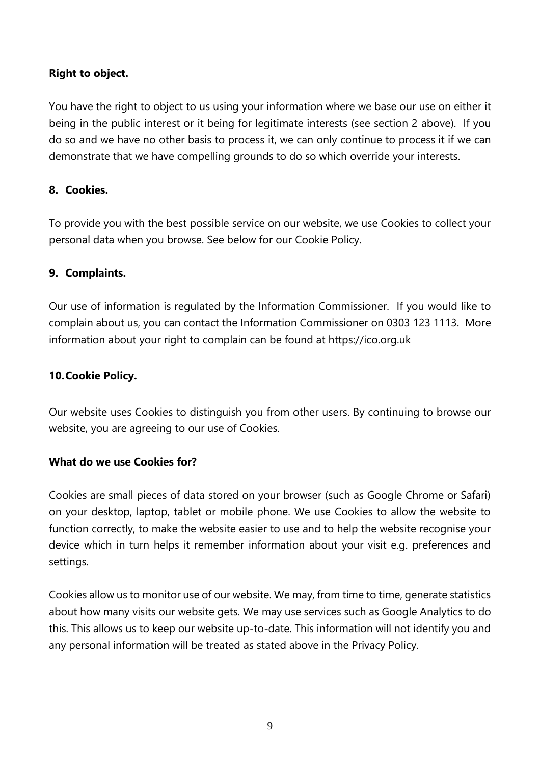## **Right to object.**

You have the right to object to us using your information where we base our use on either it being in the public interest or it being for legitimate interests (see section 2 above). If you do so and we have no other basis to process it, we can only continue to process it if we can demonstrate that we have compelling grounds to do so which override your interests.

## **8. Cookies.**

To provide you with the best possible service on our website, we use Cookies to collect your personal data when you browse. See below for our Cookie Policy.

## **9. Complaints.**

Our use of information is regulated by the Information Commissioner. If you would like to complain about us, you can contact the Information Commissioner on 0303 123 1113. More information about your right to complain can be found at https://ico.org.uk

## **10.Cookie Policy.**

Our website uses Cookies to distinguish you from other users. By continuing to browse our website, you are agreeing to our use of Cookies.

#### **What do we use Cookies for?**

Cookies are small pieces of data stored on your browser (such as Google Chrome or Safari) on your desktop, laptop, tablet or mobile phone. We use Cookies to allow the website to function correctly, to make the website easier to use and to help the website recognise your device which in turn helps it remember information about your visit e.g. preferences and settings.

Cookies allow us to monitor use of our website. We may, from time to time, generate statistics about how many visits our website gets. We may use services such as Google Analytics to do this. This allows us to keep our website up-to-date. This information will not identify you and any personal information will be treated as stated above in the Privacy Policy.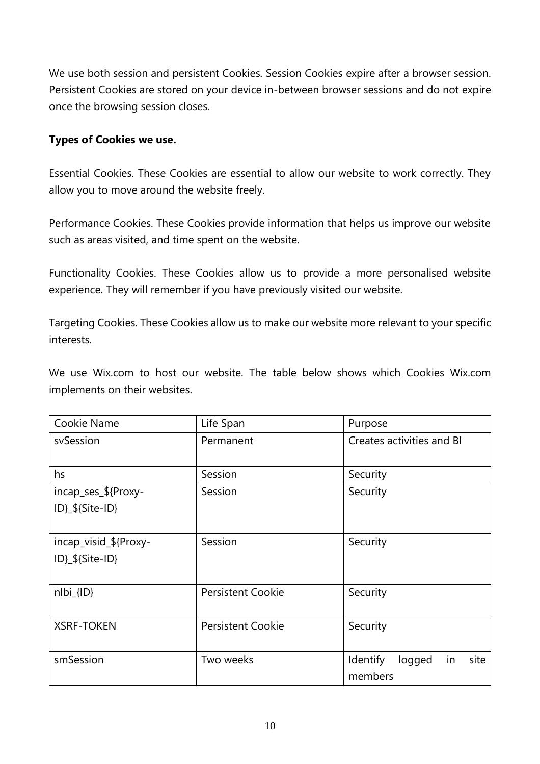We use both session and persistent Cookies. Session Cookies expire after a browser session. Persistent Cookies are stored on your device in-between browser sessions and do not expire once the browsing session closes.

#### **Types of Cookies we use.**

Essential Cookies. These Cookies are essential to allow our website to work correctly. They allow you to move around the website freely.

Performance Cookies. These Cookies provide information that helps us improve our website such as areas visited, and time spent on the website.

Functionality Cookies. These Cookies allow us to provide a more personalised website experience. They will remember if you have previously visited our website.

Targeting Cookies. These Cookies allow us to make our website more relevant to your specific interests.

We use Wix.com to host our website. The table below shows which Cookies Wix.com implements on their websites.

| Cookie Name                              | Life Span                | Purpose                                     |
|------------------------------------------|--------------------------|---------------------------------------------|
| svSession                                | Permanent                | Creates activities and BI                   |
| hs                                       | Session                  | Security                                    |
| incap_ses_\${Proxy-<br>ID}_\${Site-ID}   | Session                  | Security                                    |
| incap_visid_\${Proxy-<br>ID}_\${Site-ID} | Session                  | Security                                    |
| $nIbi_{IID}$                             | <b>Persistent Cookie</b> | Security                                    |
| <b>XSRF-TOKEN</b>                        | <b>Persistent Cookie</b> | Security                                    |
| smSession                                | Two weeks                | site<br>Identify<br>logged<br>in<br>members |